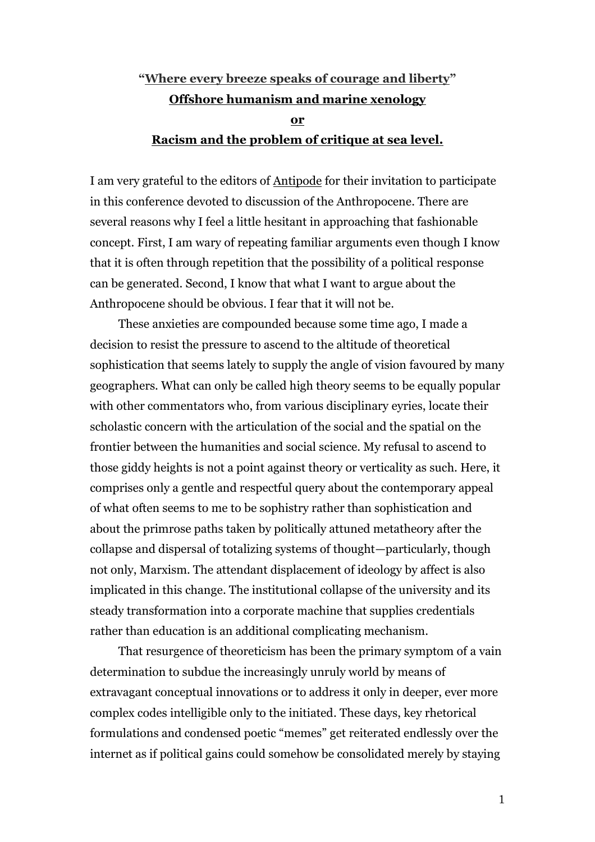## **"Where every breeze speaks of courage and liberty" Offshore humanism and marine xenology or Racism and the problem of critique at sea level.**

I am very grateful to the editors of Antipode for their invitation to participate in this conference devoted to discussion of the Anthropocene. There are several reasons why I feel a little hesitant in approaching that fashionable concept. First, I am wary of repeating familiar arguments even though I know that it is often through repetition that the possibility of a political response can be generated. Second, I know that what I want to argue about the Anthropocene should be obvious. I fear that it will not be.

These anxieties are compounded because some time ago, I made a decision to resist the pressure to ascend to the altitude of theoretical sophistication that seems lately to supply the angle of vision favoured by many geographers. What can only be called high theory seems to be equally popular with other commentators who, from various disciplinary eyries, locate their scholastic concern with the articulation of the social and the spatial on the frontier between the humanities and social science. My refusal to ascend to those giddy heights is not a point against theory or verticality as such. Here, it comprises only a gentle and respectful query about the contemporary appeal of what often seems to me to be sophistry rather than sophistication and about the primrose paths taken by politically attuned metatheory after the collapse and dispersal of totalizing systems of thought—particularly, though not only, Marxism. The attendant displacement of ideology by affect is also implicated in this change. The institutional collapse of the university and its steady transformation into a corporate machine that supplies credentials rather than education is an additional complicating mechanism.

That resurgence of theoreticism has been the primary symptom of a vain determination to subdue the increasingly unruly world by means of extravagant conceptual innovations or to address it only in deeper, ever more complex codes intelligible only to the initiated. These days, key rhetorical formulations and condensed poetic "memes" get reiterated endlessly over the internet as if political gains could somehow be consolidated merely by staying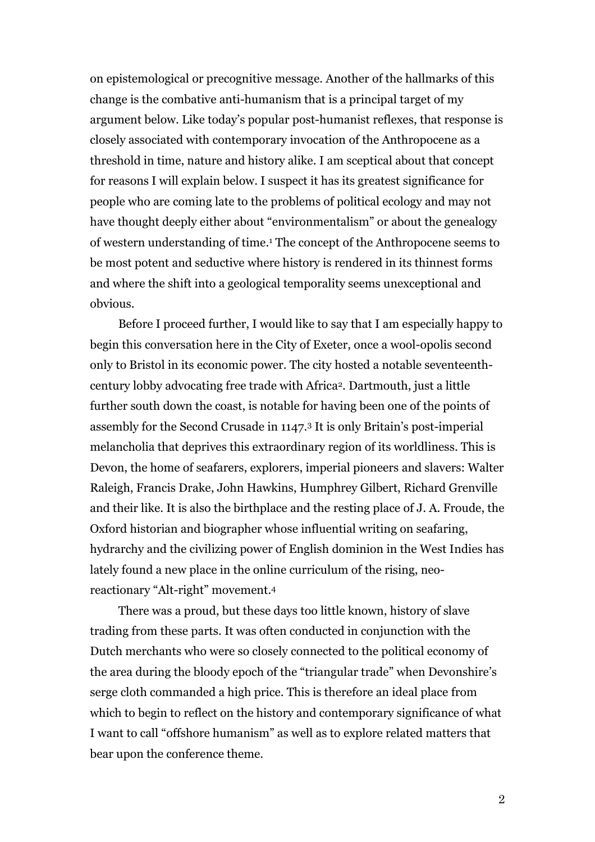on epistemological or precognitive message. Another of the hallmarks of this change is the combative anti-humanism that is a principal target of my argument below. Like today's popular post-humanist reflexes, that response is closely associated with contemporary invocation of the Anthropocene as a threshold in time, nature and history alike. I am sceptical about that concept for reasons I will explain below. I suspect it has its greatest significance for people who are coming late to the problems of political ecology and may not have thought deeply either about "environmentalism" or about the genealogy of western understanding of time. <sup>1</sup> The concept of the Anthropocene seems to be most potent and seductive where history is rendered in its thinnest forms and where the shift into a geological temporality seems unexceptional and obvious.

Before I proceed further, I would like to say that I am especially happy to begin this conversation here in the City of Exeter, once a wool-opolis second only to Bristol in its economic power. The city hosted a notable seventeenthcentury lobby advocating free trade with Africa<sup>2</sup>. Dartmouth, just a little further south down the coast, is notable for having been one of the points of assembly for the Second Crusade in 1147. <sup>3</sup> It is only Britain's post-imperial melancholia that deprives this extraordinary region of its worldliness. This is Devon, the home of seafarers, explorers, imperial pioneers and slavers: Walter Raleigh, Francis Drake, John Hawkins, Humphrey Gilbert, Richard Grenville and their like. It is also the birthplace and the resting place of J. A. Froude, the Oxford historian and biographer whose influential writing on seafaring, hydrarchy and the civilizing power of English dominion in the West Indies has lately found a new place in the online curriculum of the rising, neoreactionary "Alt-right" movement.<sup>4</sup>

There was a proud, but these days too little known, history of slave trading from these parts. It was often conducted in conjunction with the Dutch merchants who were so closely connected to the political economy of the area during the bloody epoch of the "triangular trade" when Devonshire's serge cloth commanded a high price. This is therefore an ideal place from which to begin to reflect on the history and contemporary significance of what I want to call "offshore humanism" as well as to explore related matters that bear upon the conference theme.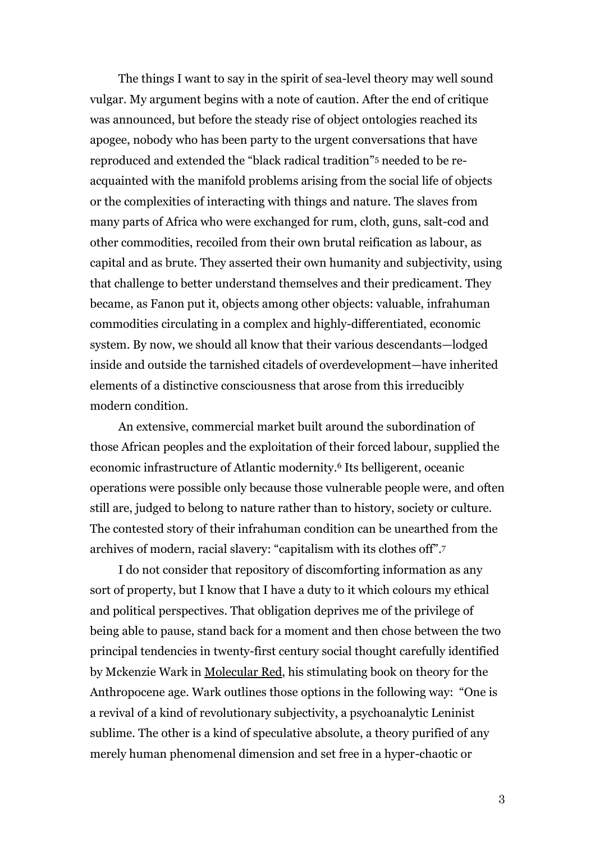The things I want to say in the spirit of sea-level theory may well sound vulgar. My argument begins with a note of caution. After the end of critique was announced, but before the steady rise of object ontologies reached its apogee, nobody who has been party to the urgent conversations that have reproduced and extended the "black radical tradition"<sup>5</sup> needed to be reacquainted with the manifold problems arising from the social life of objects or the complexities of interacting with things and nature. The slaves from many parts of Africa who were exchanged for rum, cloth, guns, salt-cod and other commodities, recoiled from their own brutal reification as labour, as capital and as brute. They asserted their own humanity and subjectivity, using that challenge to better understand themselves and their predicament. They became, as Fanon put it, objects among other objects: valuable, infrahuman commodities circulating in a complex and highly-differentiated, economic system. By now, we should all know that their various descendants—lodged inside and outside the tarnished citadels of overdevelopment—have inherited elements of a distinctive consciousness that arose from this irreducibly modern condition.

An extensive, commercial market built around the subordination of those African peoples and the exploitation of their forced labour, supplied the economic infrastructure of Atlantic modernity. <sup>6</sup> Its belligerent, oceanic operations were possible only because those vulnerable people were, and often still are, judged to belong to nature rather than to history, society or culture. The contested story of their infrahuman condition can be unearthed from the archives of modern, racial slavery: "capitalism with its clothes off".<sup>7</sup>

I do not consider that repository of discomforting information as any sort of property, but I know that I have a duty to it which colours my ethical and political perspectives. That obligation deprives me of the privilege of being able to pause, stand back for a moment and then chose between the two principal tendencies in twenty-first century social thought carefully identified by Mckenzie Wark in Molecular Red, his stimulating book on theory for the Anthropocene age. Wark outlines those options in the following way: "One is a revival of a kind of revolutionary subjectivity, a psychoanalytic Leninist sublime. The other is a kind of speculative absolute, a theory purified of any merely human phenomenal dimension and set free in a hyper-chaotic or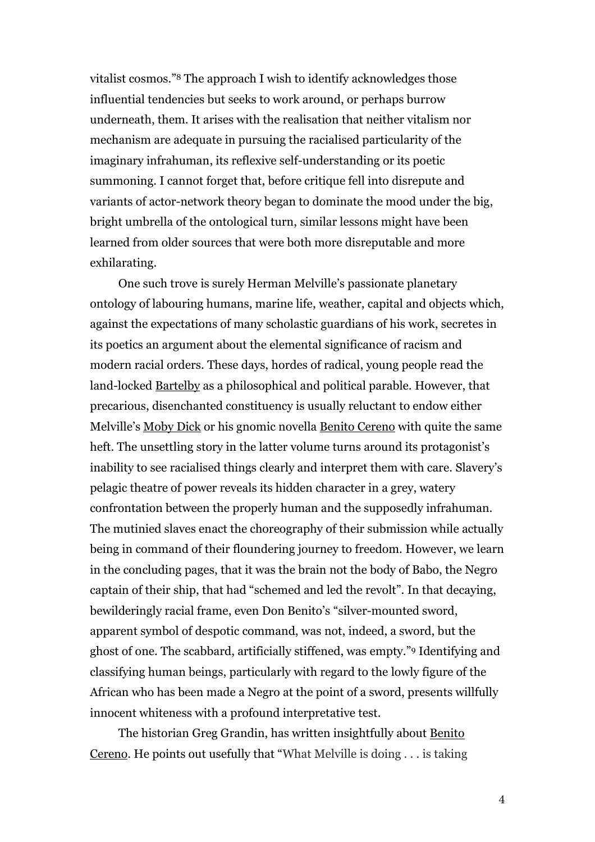vitalist cosmos."<sup>8</sup> The approach I wish to identify acknowledges those influential tendencies but seeks to work around, or perhaps burrow underneath, them. It arises with the realisation that neither vitalism nor mechanism are adequate in pursuing the racialised particularity of the imaginary infrahuman, its reflexive self-understanding or its poetic summoning. I cannot forget that, before critique fell into disrepute and variants of actor-network theory began to dominate the mood under the big, bright umbrella of the ontological turn, similar lessons might have been learned from older sources that were both more disreputable and more exhilarating.

One such trove is surely Herman Melville's passionate planetary ontology of labouring humans, marine life, weather, capital and objects which, against the expectations of many scholastic guardians of his work, secretes in its poetics an argument about the elemental significance of racism and modern racial orders. These days, hordes of radical, young people read the land-locked Bartelby as a philosophical and political parable. However, that precarious, disenchanted constituency is usually reluctant to endow either Melville's Moby Dick or his gnomic novella Benito Cereno with quite the same heft. The unsettling story in the latter volume turns around its protagonist's inability to see racialised things clearly and interpret them with care. Slavery's pelagic theatre of power reveals its hidden character in a grey, watery confrontation between the properly human and the supposedly infrahuman. The mutinied slaves enact the choreography of their submission while actually being in command of their floundering journey to freedom. However, we learn in the concluding pages, that it was the brain not the body of Babo, the Negro captain of their ship, that had "schemed and led the revolt". In that decaying, bewilderingly racial frame, even Don Benito's "silver-mounted sword, apparent symbol of despotic command, was not, indeed, a sword, but the ghost of one. The scabbard, artificially stiffened, was empty." <sup>9</sup> Identifying and classifying human beings, particularly with regard to the lowly figure of the African who has been made a Negro at the point of a sword, presents willfully innocent whiteness with a profound interpretative test.

The historian Greg Grandin, has written insightfully about **Benito** Cereno. He points out usefully that "What Melville is doing . . . is taking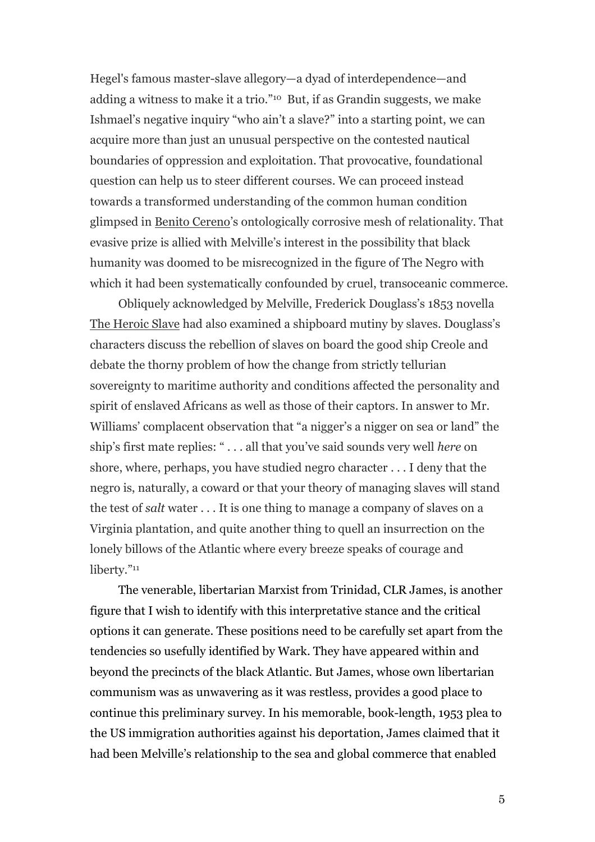Hegel's famous master-slave allegory—a dyad of interdependence—and adding a witness to make it a trio."10 But, if as Grandin suggests, we make Ishmael's negative inquiry "who ain't a slave?" into a starting point, we can acquire more than just an unusual perspective on the contested nautical boundaries of oppression and exploitation. That provocative, foundational question can help us to steer different courses. We can proceed instead towards a transformed understanding of the common human condition glimpsed in Benito Cereno's ontologically corrosive mesh of relationality. That evasive prize is allied with Melville's interest in the possibility that black humanity was doomed to be misrecognized in the figure of The Negro with which it had been systematically confounded by cruel, transoceanic commerce.

Obliquely acknowledged by Melville, Frederick Douglass's 1853 novella The Heroic Slave had also examined a shipboard mutiny by slaves. Douglass's characters discuss the rebellion of slaves on board the good ship Creole and debate the thorny problem of how the change from strictly tellurian sovereignty to maritime authority and conditions affected the personality and spirit of enslaved Africans as well as those of their captors. In answer to Mr. Williams' complacent observation that "a nigger's a nigger on sea or land" the ship's first mate replies: " . . . all that you've said sounds very well *here* on shore, where, perhaps, you have studied negro character . . . I deny that the negro is, naturally, a coward or that your theory of managing slaves will stand the test of *salt* water . . . It is one thing to manage a company of slaves on a Virginia plantation, and quite another thing to quell an insurrection on the lonely billows of the Atlantic where every breeze speaks of courage and liberty."<sup>11</sup>

The venerable, libertarian Marxist from Trinidad, CLR James, is another figure that I wish to identify with this interpretative stance and the critical options it can generate. These positions need to be carefully set apart from the tendencies so usefully identified by Wark. They have appeared within and beyond the precincts of the black Atlantic. But James, whose own libertarian communism was as unwavering as it was restless, provides a good place to continue this preliminary survey. In his memorable, book-length, 1953 plea to the US immigration authorities against his deportation, James claimed that it had been Melville's relationship to the sea and global commerce that enabled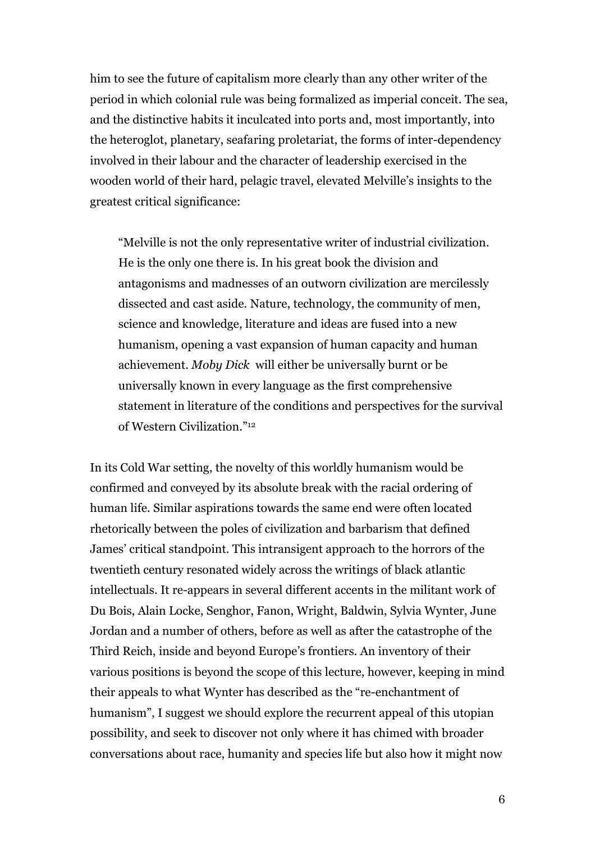him to see the future of capitalism more clearly than any other writer of the period in which colonial rule was being formalized as imperial conceit. The sea, and the distinctive habits it inculcated into ports and, most importantly, into the heteroglot, planetary, seafaring proletariat, the forms of inter-dependency involved in their labour and the character of leadership exercised in the wooden world of their hard, pelagic travel, elevated Melville's insights to the greatest critical significance:

"Melville is not the only representative writer of industrial civilization. He is the only one there is. In his great book the division and antagonisms and madnesses of an outworn civilization are mercilessly dissected and cast aside. Nature, technology, the community of men, science and knowledge, literature and ideas are fused into a new humanism, opening a vast expansion of human capacity and human achievement. *Moby Dick* will either be universally burnt or be universally known in every language as the first comprehensive statement in literature of the conditions and perspectives for the survival of Western Civilization."<sup>12</sup>

In its Cold War setting, the novelty of this worldly humanism would be confirmed and conveyed by its absolute break with the racial ordering of human life. Similar aspirations towards the same end were often located rhetorically between the poles of civilization and barbarism that defined James' critical standpoint. This intransigent approach to the horrors of the twentieth century resonated widely across the writings of black atlantic intellectuals. It re-appears in several different accents in the militant work of Du Bois, Alain Locke, Senghor, Fanon, Wright, Baldwin, Sylvia Wynter, June Jordan and a number of others, before as well as after the catastrophe of the Third Reich, inside and beyond Europe's frontiers. An inventory of their various positions is beyond the scope of this lecture, however, keeping in mind their appeals to what Wynter has described as the "re-enchantment of humanism", I suggest we should explore the recurrent appeal of this utopian possibility, and seek to discover not only where it has chimed with broader conversations about race, humanity and species life but also how it might now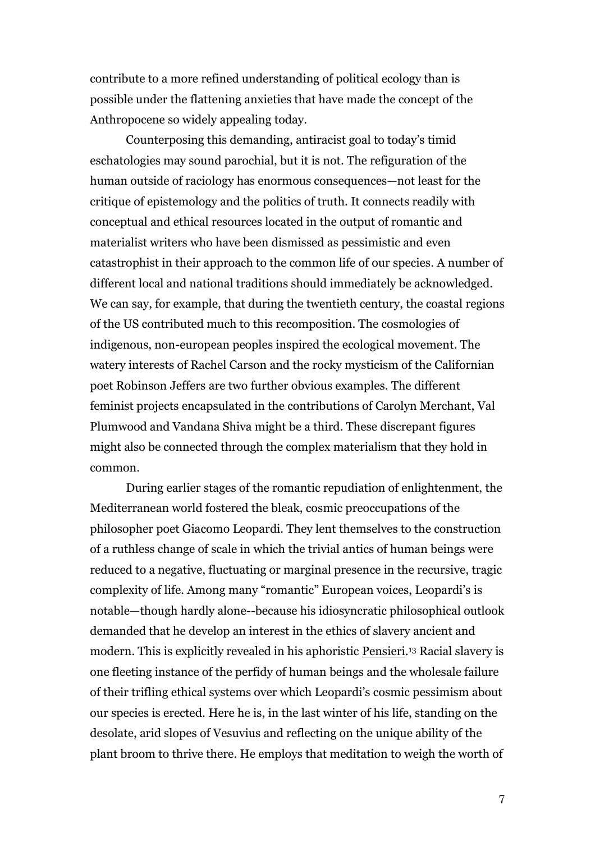contribute to a more refined understanding of political ecology than is possible under the flattening anxieties that have made the concept of the Anthropocene so widely appealing today.

Counterposing this demanding, antiracist goal to today's timid eschatologies may sound parochial, but it is not. The refiguration of the human outside of raciology has enormous consequences—not least for the critique of epistemology and the politics of truth. It connects readily with conceptual and ethical resources located in the output of romantic and materialist writers who have been dismissed as pessimistic and even catastrophist in their approach to the common life of our species. A number of different local and national traditions should immediately be acknowledged. We can say, for example, that during the twentieth century, the coastal regions of the US contributed much to this recomposition. The cosmologies of indigenous, non-european peoples inspired the ecological movement. The watery interests of Rachel Carson and the rocky mysticism of the Californian poet Robinson Jeffers are two further obvious examples. The different feminist projects encapsulated in the contributions of Carolyn Merchant, Val Plumwood and Vandana Shiva might be a third. These discrepant figures might also be connected through the complex materialism that they hold in common.

During earlier stages of the romantic repudiation of enlightenment, the Mediterranean world fostered the bleak, cosmic preoccupations of the philosopher poet Giacomo Leopardi. They lent themselves to the construction of a ruthless change of scale in which the trivial antics of human beings were reduced to a negative, fluctuating or marginal presence in the recursive, tragic complexity of life. Among many "romantic" European voices, Leopardi's is notable—though hardly alone--because his idiosyncratic philosophical outlook demanded that he develop an interest in the ethics of slavery ancient and modern. This is explicitly revealed in his aphoristic <u>Pensieri</u>.13 Racial slavery is one fleeting instance of the perfidy of human beings and the wholesale failure of their trifling ethical systems over which Leopardi's cosmic pessimism about our species is erected. Here he is, in the last winter of his life, standing on the desolate, arid slopes of Vesuvius and reflecting on the unique ability of the plant broom to thrive there. He employs that meditation to weigh the worth of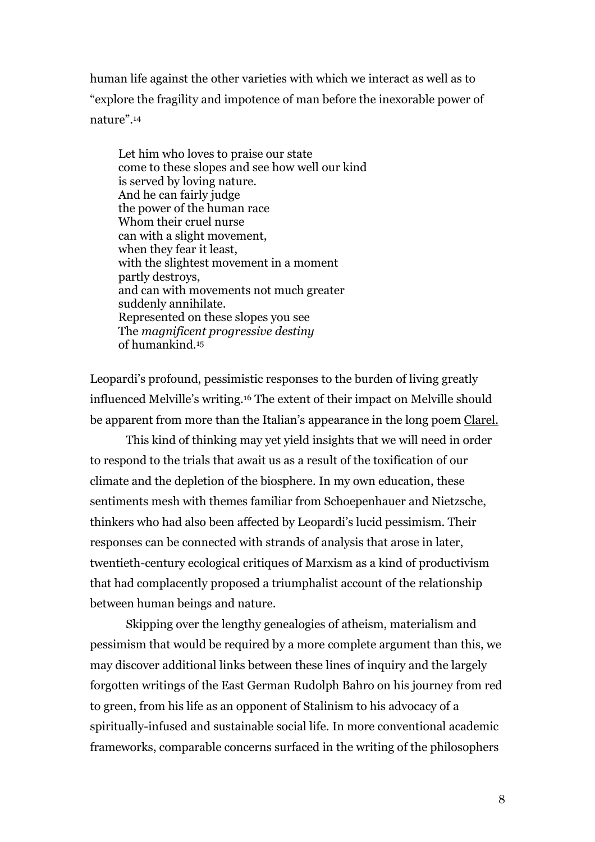human life against the other varieties with which we interact as well as to "explore the fragility and impotence of man before the inexorable power of nature".<sup>14</sup>

Let him who loves to praise our state come to these slopes and see how well our kind is served by loving nature. And he can fairly judge the power of the human race Whom their cruel nurse can with a slight movement, when they fear it least, with the slightest movement in a moment partly destroys, and can with movements not much greater suddenly annihilate. Represented on these slopes you see The *magnificent progressive destiny* of humankind.<sup>15</sup>

Leopardi's profound, pessimistic responses to the burden of living greatly influenced Melville's writing. <sup>16</sup> The extent of their impact on Melville should be apparent from more than the Italian's appearance in the long poem Clarel.

This kind of thinking may yet yield insights that we will need in order to respond to the trials that await us as a result of the toxification of our climate and the depletion of the biosphere. In my own education, these sentiments mesh with themes familiar from Schoepenhauer and Nietzsche, thinkers who had also been affected by Leopardi's lucid pessimism. Their responses can be connected with strands of analysis that arose in later, twentieth-century ecological critiques of Marxism as a kind of productivism that had complacently proposed a triumphalist account of the relationship between human beings and nature.

Skipping over the lengthy genealogies of atheism, materialism and pessimism that would be required by a more complete argument than this, we may discover additional links between these lines of inquiry and the largely forgotten writings of the East German Rudolph Bahro on his journey from red to green, from his life as an opponent of Stalinism to his advocacy of a spiritually-infused and sustainable social life. In more conventional academic frameworks, comparable concerns surfaced in the writing of the philosophers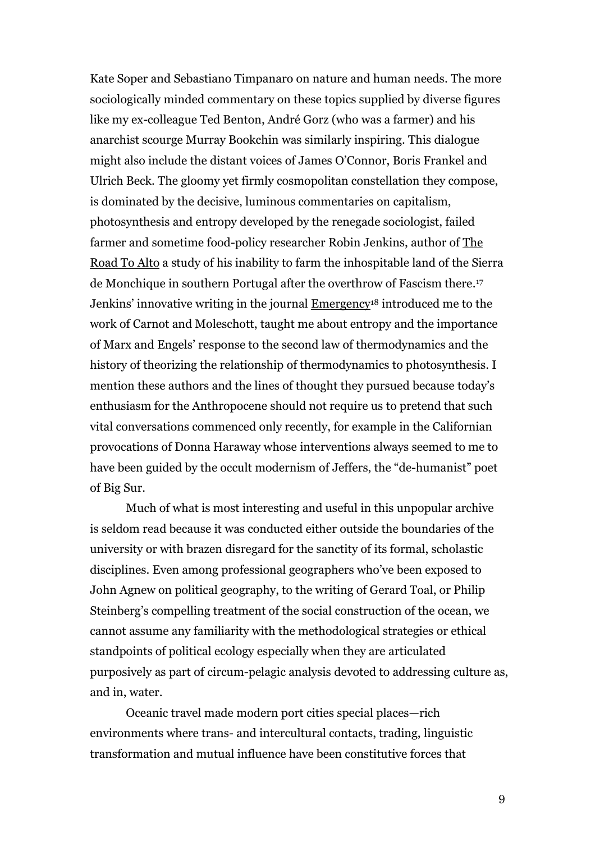Kate Soper and Sebastiano Timpanaro on nature and human needs. The more sociologically minded commentary on these topics supplied by diverse figures like my ex-colleague Ted Benton, André Gorz (who was a farmer) and his anarchist scourge Murray Bookchin was similarly inspiring. This dialogue might also include the distant voices of James O'Connor, Boris Frankel and Ulrich Beck. The gloomy yet firmly cosmopolitan constellation they compose, is dominated by the decisive, luminous commentaries on capitalism, photosynthesis and entropy developed by the renegade sociologist, failed farmer and sometime food-policy researcher Robin Jenkins, author of The Road To Alto a study of his inability to farm the inhospitable land of the Sierra de Monchique in southern Portugal after the overthrow of Fascism there. 17 Jenkins' innovative writing in the journal **Emergency<sup>18</sup>** introduced me to the work of Carnot and Moleschott, taught me about entropy and the importance of Marx and Engels' response to the second law of thermodynamics and the history of theorizing the relationship of thermodynamics to photosynthesis. I mention these authors and the lines of thought they pursued because today's enthusiasm for the Anthropocene should not require us to pretend that such vital conversations commenced only recently, for example in the Californian provocations of Donna Haraway whose interventions always seemed to me to have been guided by the occult modernism of Jeffers, the "de-humanist" poet of Big Sur.

Much of what is most interesting and useful in this unpopular archive is seldom read because it was conducted either outside the boundaries of the university or with brazen disregard for the sanctity of its formal, scholastic disciplines. Even among professional geographers who've been exposed to John Agnew on political geography, to the writing of Gerard Toal, or Philip Steinberg's compelling treatment of the social construction of the ocean, we cannot assume any familiarity with the methodological strategies or ethical standpoints of political ecology especially when they are articulated purposively as part of circum-pelagic analysis devoted to addressing culture as, and in, water.

Oceanic travel made modern port cities special places—rich environments where trans- and intercultural contacts, trading, linguistic transformation and mutual influence have been constitutive forces that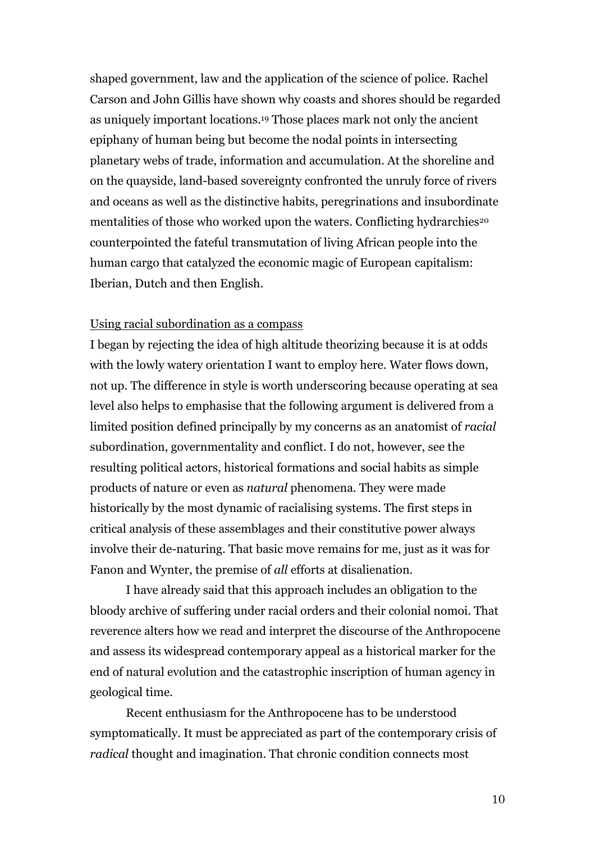shaped government, law and the application of the science of police. Rachel Carson and John Gillis have shown why coasts and shores should be regarded as uniquely important locations. <sup>19</sup> Those places mark not only the ancient epiphany of human being but become the nodal points in intersecting planetary webs of trade, information and accumulation. At the shoreline and on the quayside, land-based sovereignty confronted the unruly force of rivers and oceans as well as the distinctive habits, peregrinations and insubordinate mentalities of those who worked upon the waters. Conflicting hydrarchies<sup>20</sup> counterpointed the fateful transmutation of living African people into the human cargo that catalyzed the economic magic of European capitalism: Iberian, Dutch and then English.

## Using racial subordination as a compass

I began by rejecting the idea of high altitude theorizing because it is at odds with the lowly watery orientation I want to employ here. Water flows down, not up. The difference in style is worth underscoring because operating at sea level also helps to emphasise that the following argument is delivered from a limited position defined principally by my concerns as an anatomist of *racial* subordination, governmentality and conflict. I do not, however, see the resulting political actors, historical formations and social habits as simple products of nature or even as *natural* phenomena. They were made historically by the most dynamic of racialising systems. The first steps in critical analysis of these assemblages and their constitutive power always involve their de-naturing. That basic move remains for me, just as it was for Fanon and Wynter, the premise of *all* efforts at disalienation.

I have already said that this approach includes an obligation to the bloody archive of suffering under racial orders and their colonial nomoi. That reverence alters how we read and interpret the discourse of the Anthropocene and assess its widespread contemporary appeal as a historical marker for the end of natural evolution and the catastrophic inscription of human agency in geological time.

Recent enthusiasm for the Anthropocene has to be understood symptomatically. It must be appreciated as part of the contemporary crisis of *radical* thought and imagination. That chronic condition connects most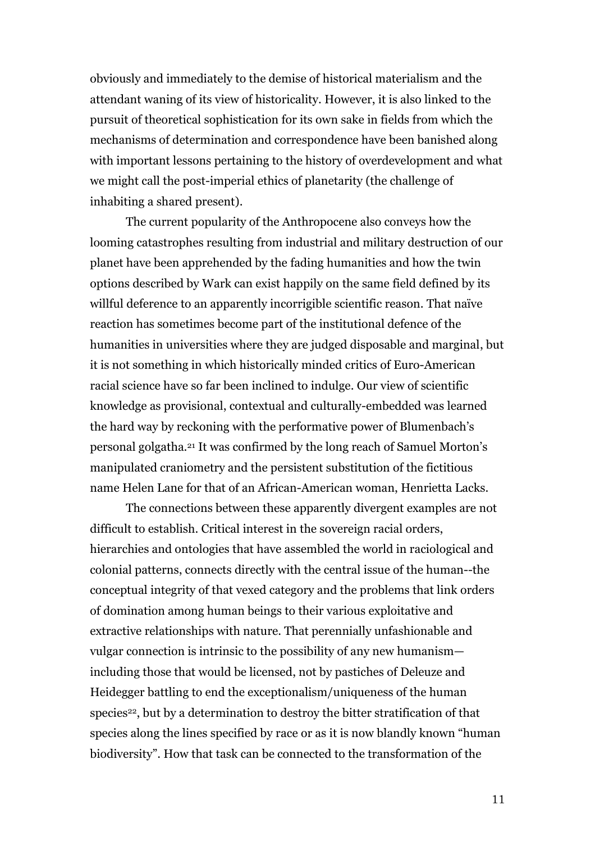obviously and immediately to the demise of historical materialism and the attendant waning of its view of historicality. However, it is also linked to the pursuit of theoretical sophistication for its own sake in fields from which the mechanisms of determination and correspondence have been banished along with important lessons pertaining to the history of overdevelopment and what we might call the post-imperial ethics of planetarity (the challenge of inhabiting a shared present).

The current popularity of the Anthropocene also conveys how the looming catastrophes resulting from industrial and military destruction of our planet have been apprehended by the fading humanities and how the twin options described by Wark can exist happily on the same field defined by its willful deference to an apparently incorrigible scientific reason. That naïve reaction has sometimes become part of the institutional defence of the humanities in universities where they are judged disposable and marginal, but it is not something in which historically minded critics of Euro-American racial science have so far been inclined to indulge. Our view of scientific knowledge as provisional, contextual and culturally-embedded was learned the hard way by reckoning with the performative power of Blumenbach's personal golgatha.<sup>21</sup> It was confirmed by the long reach of Samuel Morton's manipulated craniometry and the persistent substitution of the fictitious name Helen Lane for that of an African-American woman, Henrietta Lacks.

The connections between these apparently divergent examples are not difficult to establish. Critical interest in the sovereign racial orders, hierarchies and ontologies that have assembled the world in raciological and colonial patterns, connects directly with the central issue of the human--the conceptual integrity of that vexed category and the problems that link orders of domination among human beings to their various exploitative and extractive relationships with nature. That perennially unfashionable and vulgar connection is intrinsic to the possibility of any new humanism including those that would be licensed, not by pastiches of Deleuze and Heidegger battling to end the exceptionalism/uniqueness of the human species<sup>22</sup>, but by a determination to destroy the bitter stratification of that species along the lines specified by race or as it is now blandly known "human biodiversity". How that task can be connected to the transformation of the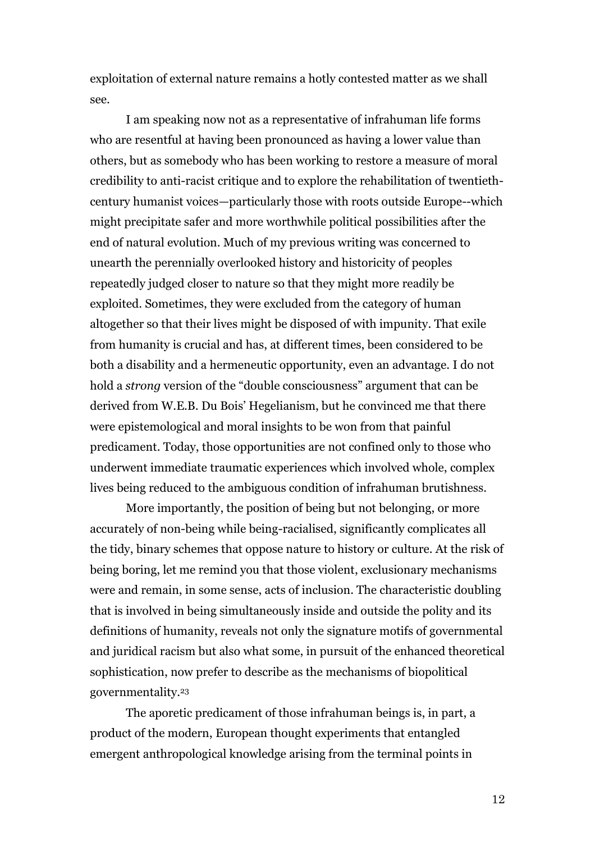exploitation of external nature remains a hotly contested matter as we shall see.

I am speaking now not as a representative of infrahuman life forms who are resentful at having been pronounced as having a lower value than others, but as somebody who has been working to restore a measure of moral credibility to anti-racist critique and to explore the rehabilitation of twentiethcentury humanist voices—particularly those with roots outside Europe--which might precipitate safer and more worthwhile political possibilities after the end of natural evolution. Much of my previous writing was concerned to unearth the perennially overlooked history and historicity of peoples repeatedly judged closer to nature so that they might more readily be exploited. Sometimes, they were excluded from the category of human altogether so that their lives might be disposed of with impunity. That exile from humanity is crucial and has, at different times, been considered to be both a disability and a hermeneutic opportunity, even an advantage. I do not hold a *strong* version of the "double consciousness" argument that can be derived from W.E.B. Du Bois' Hegelianism, but he convinced me that there were epistemological and moral insights to be won from that painful predicament. Today, those opportunities are not confined only to those who underwent immediate traumatic experiences which involved whole, complex lives being reduced to the ambiguous condition of infrahuman brutishness.

More importantly, the position of being but not belonging, or more accurately of non-being while being-racialised, significantly complicates all the tidy, binary schemes that oppose nature to history or culture. At the risk of being boring, let me remind you that those violent, exclusionary mechanisms were and remain, in some sense, acts of inclusion. The characteristic doubling that is involved in being simultaneously inside and outside the polity and its definitions of humanity, reveals not only the signature motifs of governmental and juridical racism but also what some, in pursuit of the enhanced theoretical sophistication, now prefer to describe as the mechanisms of biopolitical governmentality. 23

The aporetic predicament of those infrahuman beings is, in part, a product of the modern, European thought experiments that entangled emergent anthropological knowledge arising from the terminal points in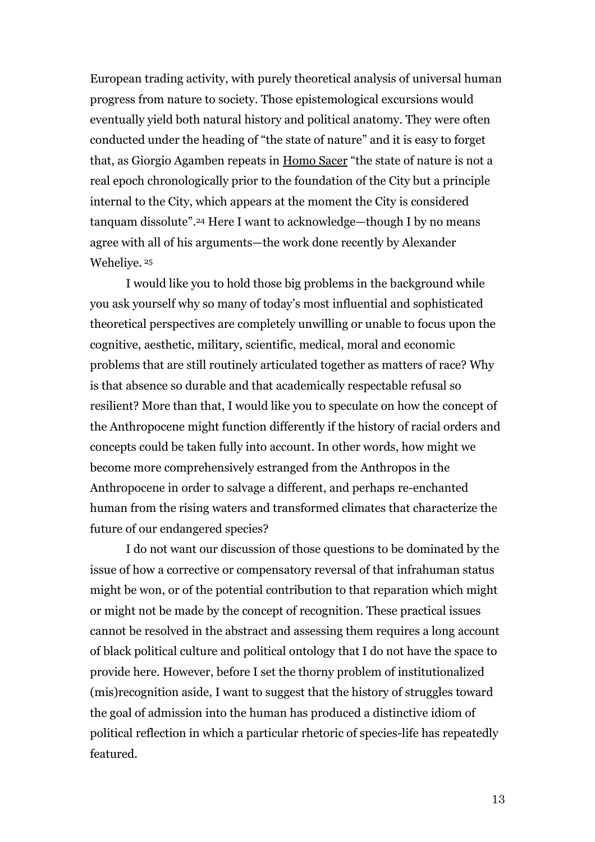European trading activity, with purely theoretical analysis of universal human progress from nature to society. Those epistemological excursions would eventually yield both natural history and political anatomy. They were often conducted under the heading of "the state of nature" and it is easy to forget that, as Giorgio Agamben repeats in Homo Sacer "the state of nature is not a real epoch chronologically prior to the foundation of the City but a principle internal to the City, which appears at the moment the City is considered tanquam dissolute". <sup>24</sup> Here I want to acknowledge—though I by no means agree with all of his arguments—the work done recently by Alexander Weheliye. <sup>25</sup>

I would like you to hold those big problems in the background while you ask yourself why so many of today's most influential and sophisticated theoretical perspectives are completely unwilling or unable to focus upon the cognitive, aesthetic, military, scientific, medical, moral and economic problems that are still routinely articulated together as matters of race? Why is that absence so durable and that academically respectable refusal so resilient? More than that, I would like you to speculate on how the concept of the Anthropocene might function differently if the history of racial orders and concepts could be taken fully into account. In other words, how might we become more comprehensively estranged from the Anthropos in the Anthropocene in order to salvage a different, and perhaps re-enchanted human from the rising waters and transformed climates that characterize the future of our endangered species?

I do not want our discussion of those questions to be dominated by the issue of how a corrective or compensatory reversal of that infrahuman status might be won, or of the potential contribution to that reparation which might or might not be made by the concept of recognition. These practical issues cannot be resolved in the abstract and assessing them requires a long account of black political culture and political ontology that I do not have the space to provide here. However, before I set the thorny problem of institutionalized (mis)recognition aside, I want to suggest that the history of struggles toward the goal of admission into the human has produced a distinctive idiom of political reflection in which a particular rhetoric of species-life has repeatedly featured.

13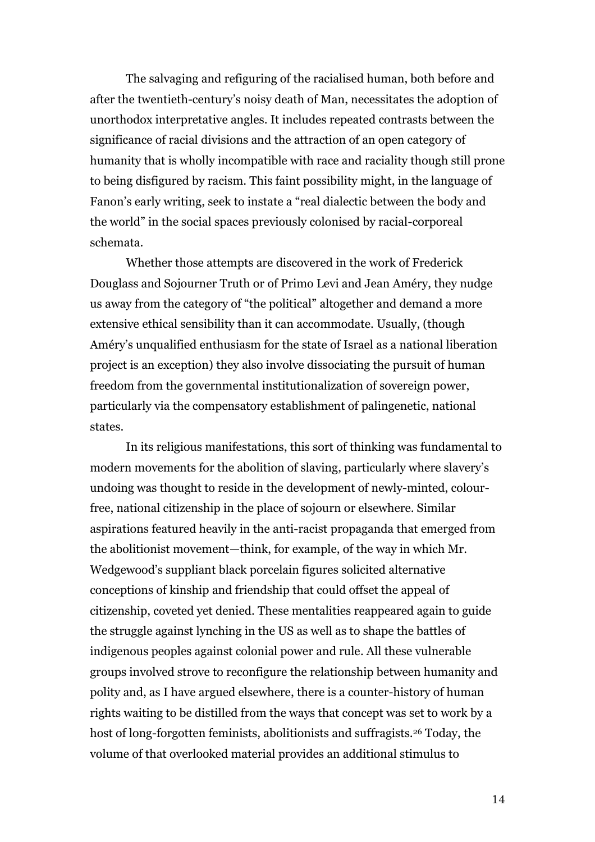The salvaging and refiguring of the racialised human, both before and after the twentieth-century's noisy death of Man, necessitates the adoption of unorthodox interpretative angles. It includes repeated contrasts between the significance of racial divisions and the attraction of an open category of humanity that is wholly incompatible with race and raciality though still prone to being disfigured by racism. This faint possibility might, in the language of Fanon's early writing, seek to instate a "real dialectic between the body and the world" in the social spaces previously colonised by racial-corporeal schemata.

Whether those attempts are discovered in the work of Frederick Douglass and Sojourner Truth or of Primo Levi and Jean Améry, they nudge us away from the category of "the political" altogether and demand a more extensive ethical sensibility than it can accommodate. Usually, (though Améry's unqualified enthusiasm for the state of Israel as a national liberation project is an exception) they also involve dissociating the pursuit of human freedom from the governmental institutionalization of sovereign power, particularly via the compensatory establishment of palingenetic, national states.

In its religious manifestations, this sort of thinking was fundamental to modern movements for the abolition of slaving, particularly where slavery's undoing was thought to reside in the development of newly-minted, colourfree, national citizenship in the place of sojourn or elsewhere. Similar aspirations featured heavily in the anti-racist propaganda that emerged from the abolitionist movement—think, for example, of the way in which Mr. Wedgewood's suppliant black porcelain figures solicited alternative conceptions of kinship and friendship that could offset the appeal of citizenship, coveted yet denied. These mentalities reappeared again to guide the struggle against lynching in the US as well as to shape the battles of indigenous peoples against colonial power and rule. All these vulnerable groups involved strove to reconfigure the relationship between humanity and polity and, as I have argued elsewhere, there is a counter-history of human rights waiting to be distilled from the ways that concept was set to work by a host of long-forgotten feminists, abolitionists and suffragists.<sup>26</sup> Today, the volume of that overlooked material provides an additional stimulus to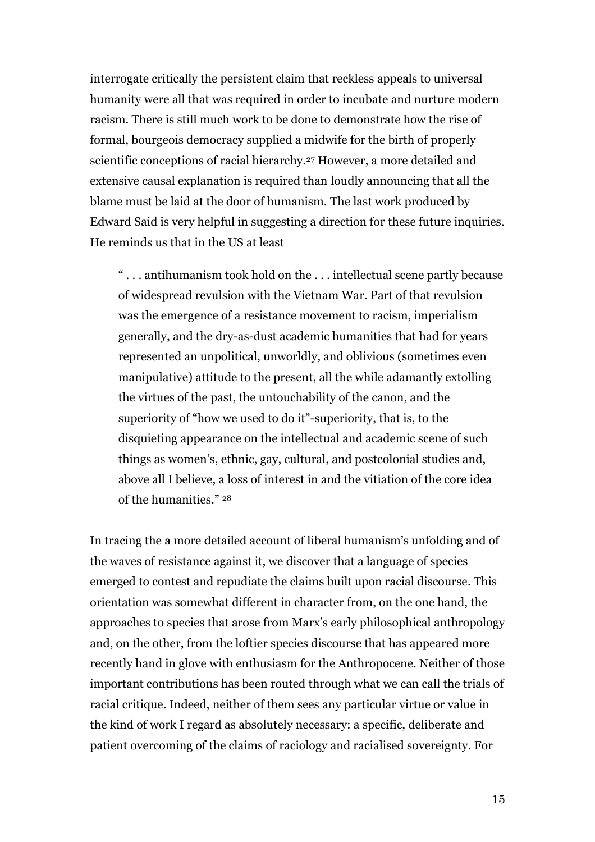interrogate critically the persistent claim that reckless appeals to universal humanity were all that was required in order to incubate and nurture modern racism. There is still much work to be done to demonstrate how the rise of formal, bourgeois democracy supplied a midwife for the birth of properly scientific conceptions of racial hierarchy.<sup>27</sup> However, a more detailed and extensive causal explanation is required than loudly announcing that all the blame must be laid at the door of humanism. The last work produced by Edward Said is very helpful in suggesting a direction for these future inquiries. He reminds us that in the US at least

" . . . antihumanism took hold on the . . . intellectual scene partly because of widespread revulsion with the Vietnam War. Part of that revulsion was the emergence of a resistance movement to racism, imperialism generally, and the dry-as-dust academic humanities that had for years represented an unpolitical, unworldly, and oblivious (sometimes even manipulative) attitude to the present, all the while adamantly extolling the virtues of the past, the untouchability of the canon, and the superiority of "how we used to do it"-superiority, that is, to the disquieting appearance on the intellectual and academic scene of such things as women's, ethnic, gay, cultural, and postcolonial studies and, above all I believe, a loss of interest in and the vitiation of the core idea of the humanities." 28

In tracing the a more detailed account of liberal humanism's unfolding and of the waves of resistance against it, we discover that a language of species emerged to contest and repudiate the claims built upon racial discourse. This orientation was somewhat different in character from, on the one hand, the approaches to species that arose from Marx's early philosophical anthropology and, on the other, from the loftier species discourse that has appeared more recently hand in glove with enthusiasm for the Anthropocene. Neither of those important contributions has been routed through what we can call the trials of racial critique. Indeed, neither of them sees any particular virtue or value in the kind of work I regard as absolutely necessary: a specific, deliberate and patient overcoming of the claims of raciology and racialised sovereignty. For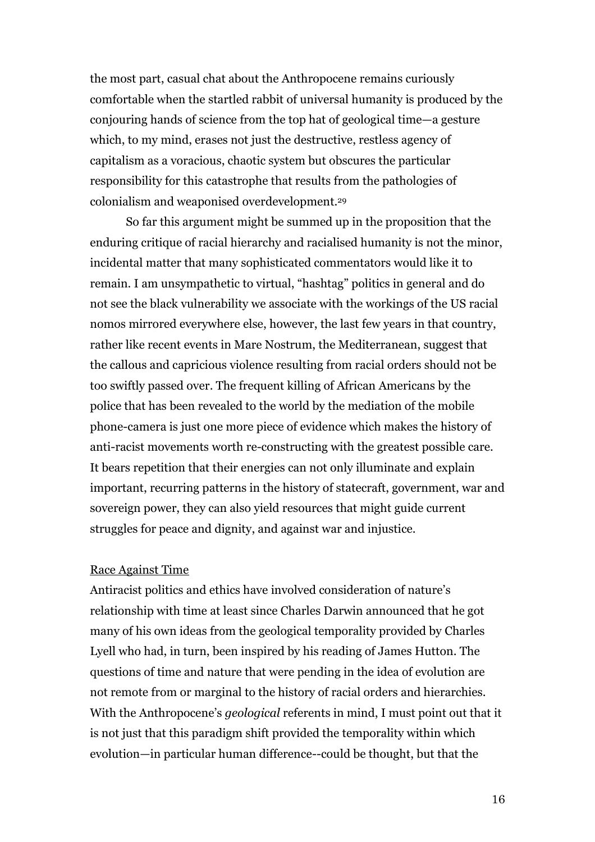the most part, casual chat about the Anthropocene remains curiously comfortable when the startled rabbit of universal humanity is produced by the conjouring hands of science from the top hat of geological time—a gesture which, to my mind, erases not just the destructive, restless agency of capitalism as a voracious, chaotic system but obscures the particular responsibility for this catastrophe that results from the pathologies of colonialism and weaponised overdevelopment.<sup>29</sup>

So far this argument might be summed up in the proposition that the enduring critique of racial hierarchy and racialised humanity is not the minor, incidental matter that many sophisticated commentators would like it to remain. I am unsympathetic to virtual, "hashtag" politics in general and do not see the black vulnerability we associate with the workings of the US racial nomos mirrored everywhere else, however, the last few years in that country, rather like recent events in Mare Nostrum, the Mediterranean, suggest that the callous and capricious violence resulting from racial orders should not be too swiftly passed over. The frequent killing of African Americans by the police that has been revealed to the world by the mediation of the mobile phone-camera is just one more piece of evidence which makes the history of anti-racist movements worth re-constructing with the greatest possible care. It bears repetition that their energies can not only illuminate and explain important, recurring patterns in the history of statecraft, government, war and sovereign power, they can also yield resources that might guide current struggles for peace and dignity, and against war and injustice.

## Race Against Time

Antiracist politics and ethics have involved consideration of nature's relationship with time at least since Charles Darwin announced that he got many of his own ideas from the geological temporality provided by Charles Lyell who had, in turn, been inspired by his reading of James Hutton. The questions of time and nature that were pending in the idea of evolution are not remote from or marginal to the history of racial orders and hierarchies. With the Anthropocene's *geological* referents in mind, I must point out that it is not just that this paradigm shift provided the temporality within which evolution—in particular human difference--could be thought, but that the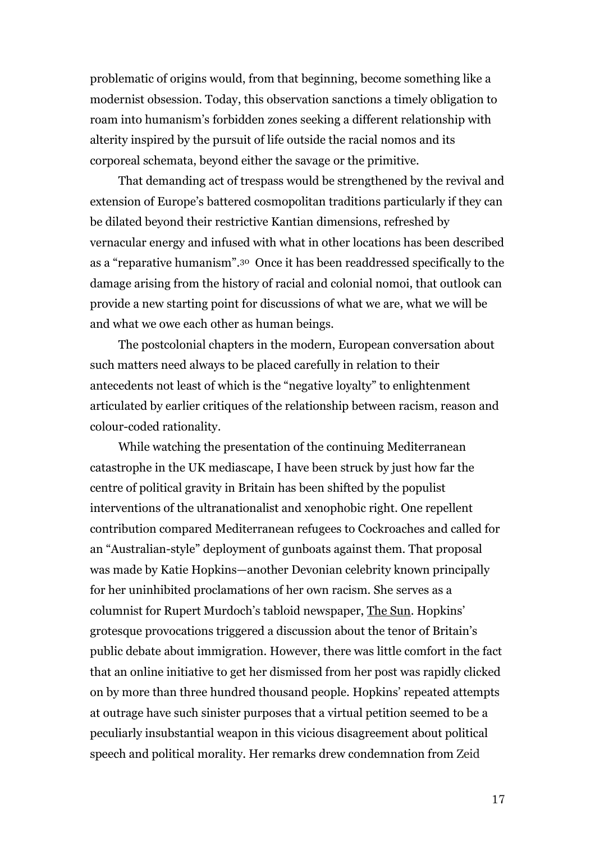problematic of origins would, from that beginning, become something like a modernist obsession. Today, this observation sanctions a timely obligation to roam into humanism's forbidden zones seeking a different relationship with alterity inspired by the pursuit of life outside the racial nomos and its corporeal schemata, beyond either the savage or the primitive.

That demanding act of trespass would be strengthened by the revival and extension of Europe's battered cosmopolitan traditions particularly if they can be dilated beyond their restrictive Kantian dimensions, refreshed by vernacular energy and infused with what in other locations has been described as a "reparative humanism". <sup>30</sup> Once it has been readdressed specifically to the damage arising from the history of racial and colonial nomoi, that outlook can provide a new starting point for discussions of what we are, what we will be and what we owe each other as human beings.

The postcolonial chapters in the modern, European conversation about such matters need always to be placed carefully in relation to their antecedents not least of which is the "negative loyalty" to enlightenment articulated by earlier critiques of the relationship between racism, reason and colour-coded rationality.

While watching the presentation of the continuing Mediterranean catastrophe in the UK mediascape, I have been struck by just how far the centre of political gravity in Britain has been shifted by the populist interventions of the ultranationalist and xenophobic right. One repellent contribution compared Mediterranean refugees to Cockroaches and called for an "Australian-style" deployment of gunboats against them. That proposal was made by Katie Hopkins—another Devonian celebrity known principally for her uninhibited proclamations of her own racism. She serves as a columnist for Rupert Murdoch's tabloid newspaper, The Sun. Hopkins' grotesque provocations triggered a discussion about the tenor of Britain's public debate about immigration. However, there was little comfort in the fact that an online initiative to get her dismissed from her post was rapidly clicked on by more than three hundred thousand people. Hopkins' repeated attempts at outrage have such sinister purposes that a virtual petition seemed to be a peculiarly insubstantial weapon in this vicious disagreement about political speech and political morality. Her remarks drew condemnation from Zeid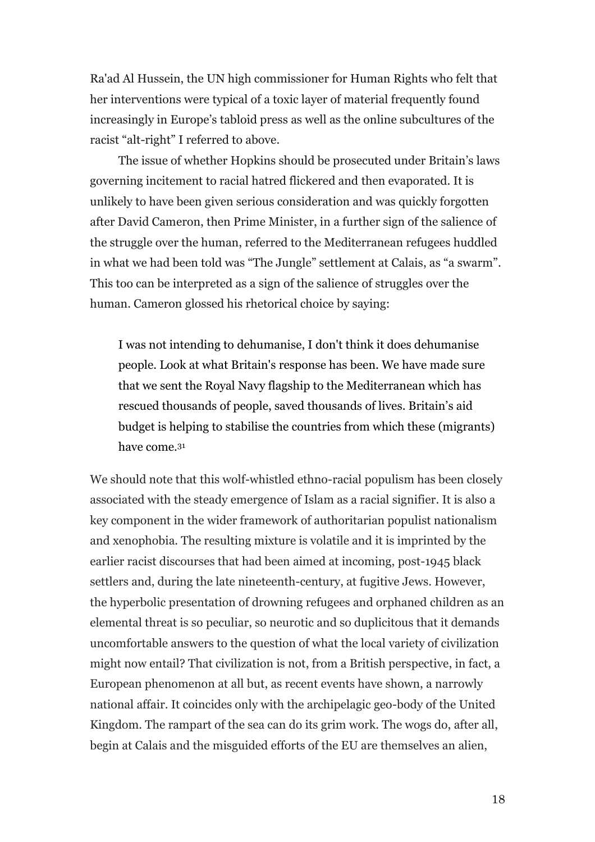Ra'ad Al Hussein, the UN high commissioner for Human Rights who felt that her interventions were typical of a toxic layer of material frequently found increasingly in Europe's tabloid press as well as the online subcultures of the racist "alt-right" I referred to above.

The issue of whether Hopkins should be prosecuted under Britain's laws governing incitement to racial hatred flickered and then evaporated. It is unlikely to have been given serious consideration and was quickly forgotten after David Cameron, then Prime Minister, in a further sign of the salience of the struggle over the human, referred to the Mediterranean refugees huddled in what we had been told was "The Jungle" settlement at Calais, as "a swarm". This too can be interpreted as a sign of the salience of struggles over the human. Cameron glossed his rhetorical choice by saying:

I was not intending to dehumanise, I don't think it does dehumanise people. Look at what Britain's response has been. We have made sure that we sent the Royal Navy flagship to the Mediterranean which has rescued thousands of people, saved thousands of lives. Britain's aid budget is helping to stabilise the countries from which these (migrants) have come. 31

We should note that this wolf-whistled ethno-racial populism has been closely associated with the steady emergence of Islam as a racial signifier. It is also a key component in the wider framework of authoritarian populist nationalism and xenophobia. The resulting mixture is volatile and it is imprinted by the earlier racist discourses that had been aimed at incoming, post-1945 black settlers and, during the late nineteenth-century, at fugitive Jews. However, the hyperbolic presentation of drowning refugees and orphaned children as an elemental threat is so peculiar, so neurotic and so duplicitous that it demands uncomfortable answers to the question of what the local variety of civilization might now entail? That civilization is not, from a British perspective, in fact, a European phenomenon at all but, as recent events have shown, a narrowly national affair. It coincides only with the archipelagic geo-body of the United Kingdom. The rampart of the sea can do its grim work. The wogs do, after all, begin at Calais and the misguided efforts of the EU are themselves an alien,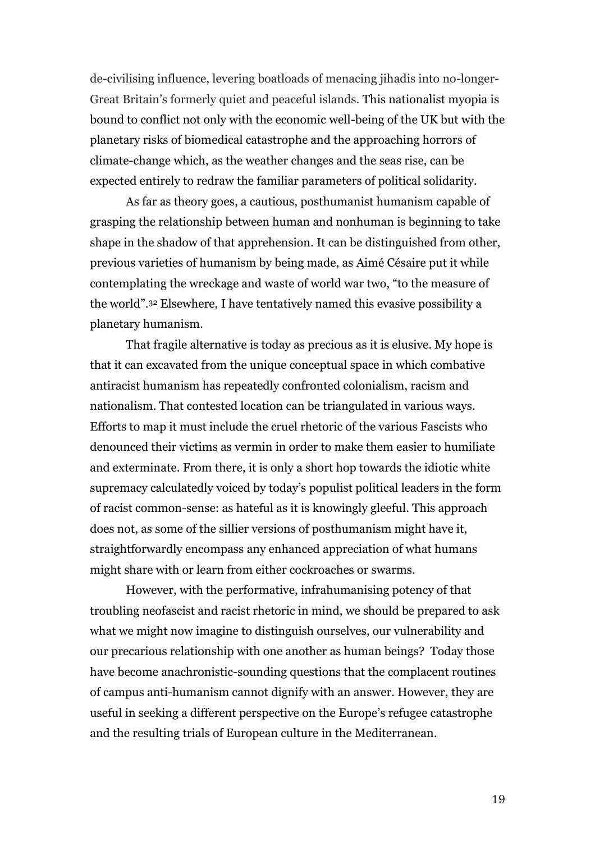de-civilising influence, levering boatloads of menacing jihadis into no-longer-Great Britain's formerly quiet and peaceful islands. This nationalist myopia is bound to conflict not only with the economic well-being of the UK but with the planetary risks of biomedical catastrophe and the approaching horrors of climate-change which, as the weather changes and the seas rise, can be expected entirely to redraw the familiar parameters of political solidarity.

As far as theory goes, a cautious, posthumanist humanism capable of grasping the relationship between human and nonhuman is beginning to take shape in the shadow of that apprehension. It can be distinguished from other, previous varieties of humanism by being made, as Aimé Césaire put it while contemplating the wreckage and waste of world war two, "to the measure of the world".<sup>32</sup> Elsewhere, I have tentatively named this evasive possibility a planetary humanism.

That fragile alternative is today as precious as it is elusive. My hope is that it can excavated from the unique conceptual space in which combative antiracist humanism has repeatedly confronted colonialism, racism and nationalism. That contested location can be triangulated in various ways. Efforts to map it must include the cruel rhetoric of the various Fascists who denounced their victims as vermin in order to make them easier to humiliate and exterminate. From there, it is only a short hop towards the idiotic white supremacy calculatedly voiced by today's populist political leaders in the form of racist common-sense: as hateful as it is knowingly gleeful. This approach does not, as some of the sillier versions of posthumanism might have it, straightforwardly encompass any enhanced appreciation of what humans might share with or learn from either cockroaches or swarms.

However, with the performative, infrahumanising potency of that troubling neofascist and racist rhetoric in mind, we should be prepared to ask what we might now imagine to distinguish ourselves, our vulnerability and our precarious relationship with one another as human beings? Today those have become anachronistic-sounding questions that the complacent routines of campus anti-humanism cannot dignify with an answer. However, they are useful in seeking a different perspective on the Europe's refugee catastrophe and the resulting trials of European culture in the Mediterranean.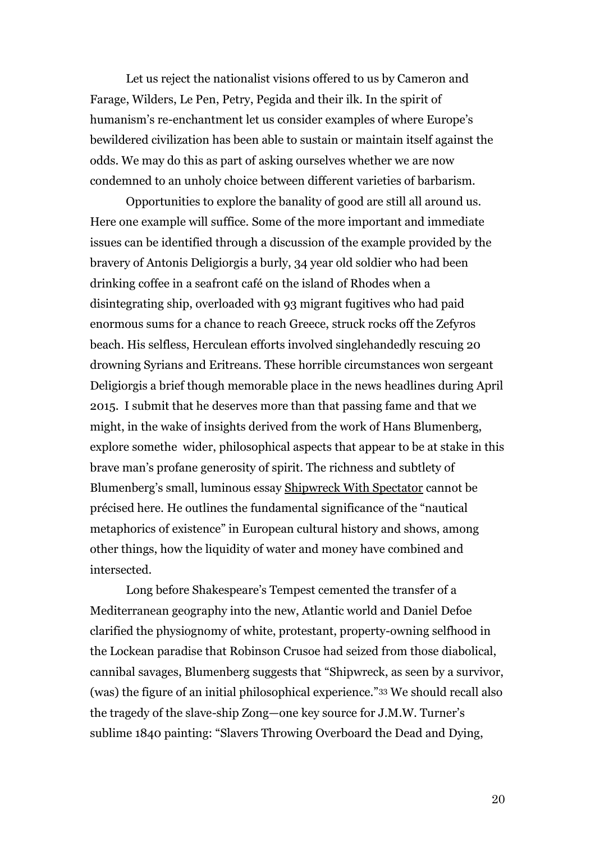Let us reject the nationalist visions offered to us by Cameron and Farage, Wilders, Le Pen, Petry, Pegida and their ilk. In the spirit of humanism's re-enchantment let us consider examples of where Europe's bewildered civilization has been able to sustain or maintain itself against the odds. We may do this as part of asking ourselves whether we are now condemned to an unholy choice between different varieties of barbarism.

Opportunities to explore the banality of good are still all around us. Here one example will suffice. Some of the more important and immediate issues can be identified through a discussion of the example provided by the bravery of Antonis Deligiorgis a burly, 34 year old soldier who had been drinking coffee in a seafront café on the island of Rhodes when a disintegrating ship, overloaded with 93 migrant fugitives who had paid enormous sums for a chance to reach Greece, struck rocks off the Zefyros beach. His selfless, Herculean efforts involved singlehandedly rescuing 20 drowning Syrians and Eritreans. These horrible circumstances won sergeant Deligiorgis a brief though memorable place in the news headlines during April 2015. I submit that he deserves more than that passing fame and that we might, in the wake of insights derived from the work of Hans Blumenberg, explore somethe wider, philosophical aspects that appear to be at stake in this brave man's profane generosity of spirit. The richness and subtlety of Blumenberg's small, luminous essay Shipwreck With Spectator cannot be précised here. He outlines the fundamental significance of the "nautical metaphorics of existence" in European cultural history and shows, among other things, how the liquidity of water and money have combined and intersected.

Long before Shakespeare's Tempest cemented the transfer of a Mediterranean geography into the new, Atlantic world and Daniel Defoe clarified the physiognomy of white, protestant, property-owning selfhood in the Lockean paradise that Robinson Crusoe had seized from those diabolical, cannibal savages, Blumenberg suggests that "Shipwreck, as seen by a survivor, (was) the figure of an initial philosophical experience."<sup>33</sup> We should recall also the tragedy of the slave-ship Zong—one key source for J.M.W. Turner's sublime 1840 painting: "Slavers Throwing Overboard the Dead and Dying,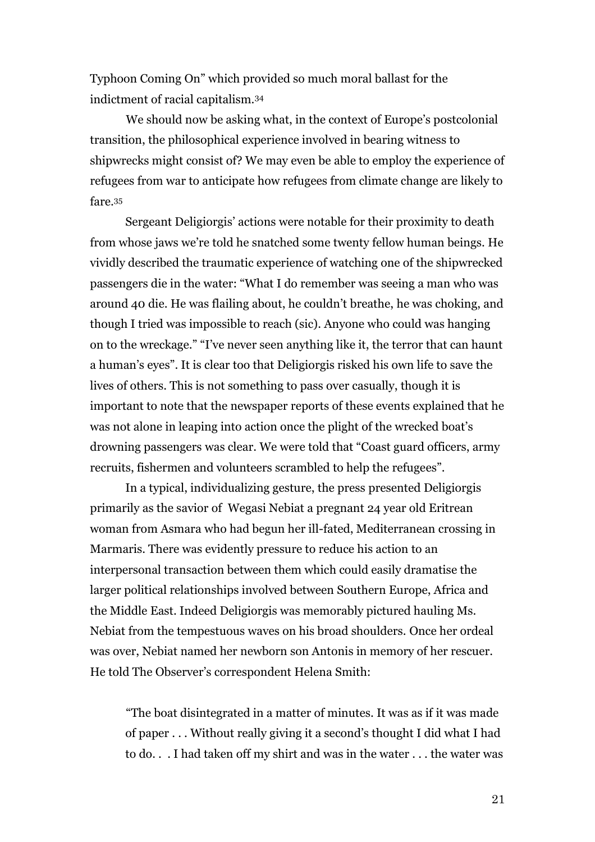Typhoon Coming On" which provided so much moral ballast for the indictment of racial capitalism.<sup>34</sup>

We should now be asking what, in the context of Europe's postcolonial transition, the philosophical experience involved in bearing witness to shipwrecks might consist of? We may even be able to employ the experience of refugees from war to anticipate how refugees from climate change are likely to fare.<sup>35</sup>

Sergeant Deligiorgis' actions were notable for their proximity to death from whose jaws we're told he snatched some twenty fellow human beings. He vividly described the traumatic experience of watching one of the shipwrecked passengers die in the water: "What I do remember was seeing a man who was around 40 die. He was flailing about, he couldn't breathe, he was choking, and though I tried was impossible to reach (sic). Anyone who could was hanging on to the wreckage." "I've never seen anything like it, the terror that can haunt a human's eyes". It is clear too that Deligiorgis risked his own life to save the lives of others. This is not something to pass over casually, though it is important to note that the newspaper reports of these events explained that he was not alone in leaping into action once the plight of the wrecked boat's drowning passengers was clear. We were told that "Coast guard officers, army recruits, fishermen and volunteers scrambled to help the refugees".

In a typical, individualizing gesture, the press presented Deligiorgis primarily as the savior of Wegasi Nebiat a pregnant 24 year old Eritrean woman from Asmara who had begun her ill-fated, Mediterranean crossing in Marmaris. There was evidently pressure to reduce his action to an interpersonal transaction between them which could easily dramatise the larger political relationships involved between Southern Europe, Africa and the Middle East. Indeed Deligiorgis was memorably pictured hauling Ms. Nebiat from the tempestuous waves on his broad shoulders. Once her ordeal was over, Nebiat named her newborn son Antonis in memory of her rescuer. He told The Observer's correspondent Helena Smith:

"The boat disintegrated in a matter of minutes. It was as if it was made of paper . . . Without really giving it a second's thought I did what I had to do. . . I had taken off my shirt and was in the water . . . the water was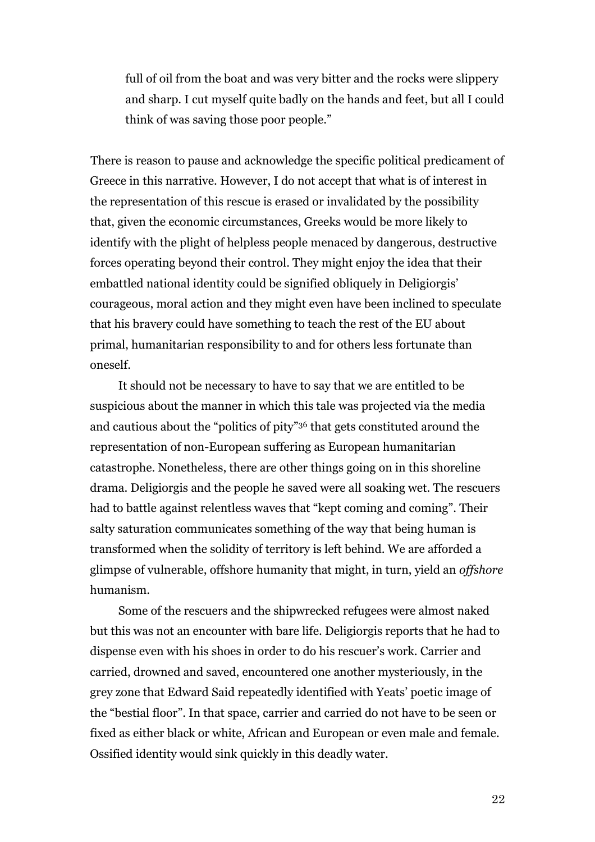full of oil from the boat and was very bitter and the rocks were slippery and sharp. I cut myself quite badly on the hands and feet, but all I could think of was saving those poor people."

There is reason to pause and acknowledge the specific political predicament of Greece in this narrative. However, I do not accept that what is of interest in the representation of this rescue is erased or invalidated by the possibility that, given the economic circumstances, Greeks would be more likely to identify with the plight of helpless people menaced by dangerous, destructive forces operating beyond their control. They might enjoy the idea that their embattled national identity could be signified obliquely in Deligiorgis' courageous, moral action and they might even have been inclined to speculate that his bravery could have something to teach the rest of the EU about primal, humanitarian responsibility to and for others less fortunate than oneself.

It should not be necessary to have to say that we are entitled to be suspicious about the manner in which this tale was projected via the media and cautious about the "politics of pity"<sup>36</sup> that gets constituted around the representation of non-European suffering as European humanitarian catastrophe. Nonetheless, there are other things going on in this shoreline drama. Deligiorgis and the people he saved were all soaking wet. The rescuers had to battle against relentless waves that "kept coming and coming". Their salty saturation communicates something of the way that being human is transformed when the solidity of territory is left behind. We are afforded a glimpse of vulnerable, offshore humanity that might, in turn, yield an *offshore*  humanism.

Some of the rescuers and the shipwrecked refugees were almost naked but this was not an encounter with bare life. Deligiorgis reports that he had to dispense even with his shoes in order to do his rescuer's work. Carrier and carried, drowned and saved, encountered one another mysteriously, in the grey zone that Edward Said repeatedly identified with Yeats' poetic image of the "bestial floor". In that space, carrier and carried do not have to be seen or fixed as either black or white, African and European or even male and female. Ossified identity would sink quickly in this deadly water.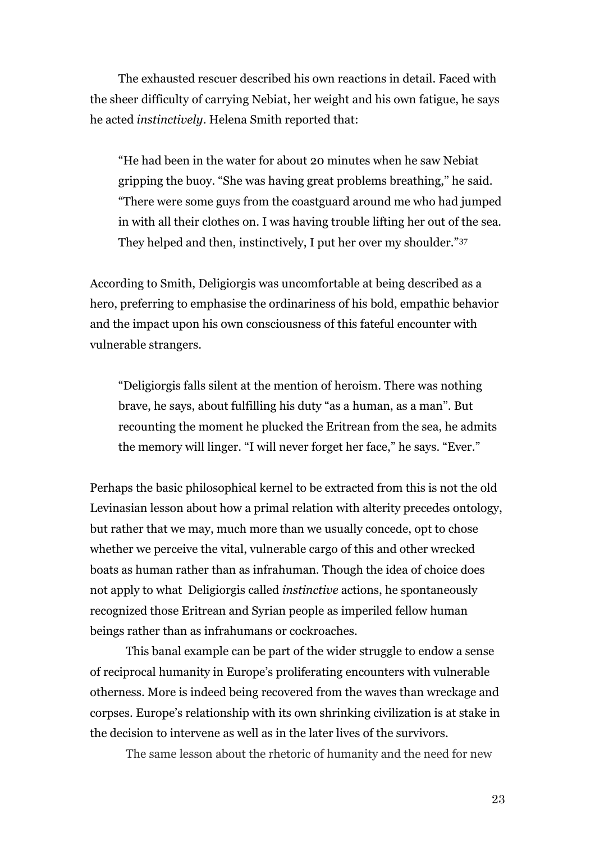The exhausted rescuer described his own reactions in detail. Faced with the sheer difficulty of carrying Nebiat, her weight and his own fatigue, he says he acted *instinctively*. Helena Smith reported that:

"He had been in the water for about 20 minutes when he saw Nebiat gripping the buoy. "She was having great problems breathing," he said. "There were some guys from the coastguard around me who had jumped in with all their clothes on. I was having trouble lifting her out of the sea. They helped and then, instinctively, I put her over my shoulder."<sup>37</sup>

According to Smith, Deligiorgis was uncomfortable at being described as a hero, preferring to emphasise the ordinariness of his bold, empathic behavior and the impact upon his own consciousness of this fateful encounter with vulnerable strangers.

"Deligiorgis falls silent at the mention of heroism. There was nothing brave, he says, about fulfilling his duty "as a human, as a man". But recounting the moment he plucked the Eritrean from the sea, he admits the memory will linger. "I will never forget her face," he says. "Ever."

Perhaps the basic philosophical kernel to be extracted from this is not the old Levinasian lesson about how a primal relation with alterity precedes ontology, but rather that we may, much more than we usually concede, opt to chose whether we perceive the vital, vulnerable cargo of this and other wrecked boats as human rather than as infrahuman. Though the idea of choice does not apply to what Deligiorgis called *instinctive* actions, he spontaneously recognized those Eritrean and Syrian people as imperiled fellow human beings rather than as infrahumans or cockroaches.

This banal example can be part of the wider struggle to endow a sense of reciprocal humanity in Europe's proliferating encounters with vulnerable otherness. More is indeed being recovered from the waves than wreckage and corpses. Europe's relationship with its own shrinking civilization is at stake in the decision to intervene as well as in the later lives of the survivors.

The same lesson about the rhetoric of humanity and the need for new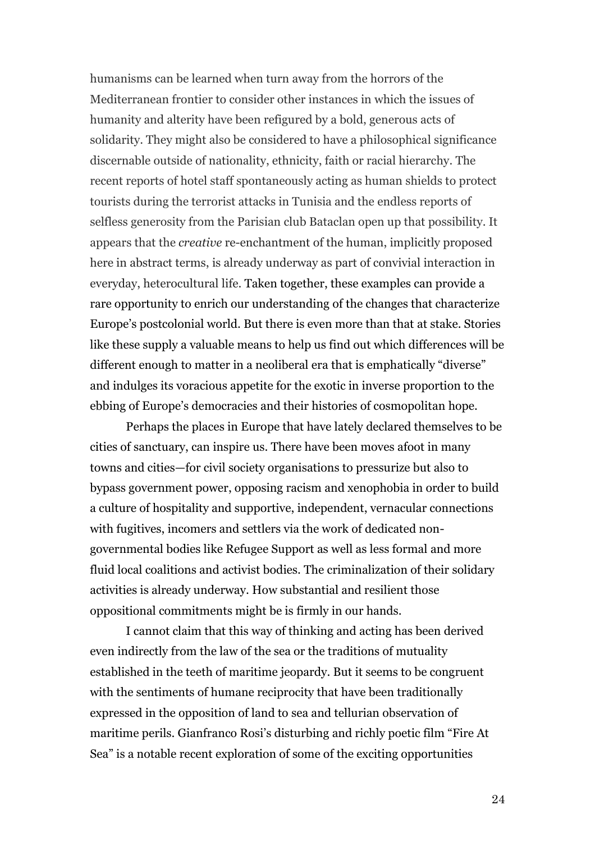humanisms can be learned when turn away from the horrors of the Mediterranean frontier to consider other instances in which the issues of humanity and alterity have been refigured by a bold, generous acts of solidarity. They might also be considered to have a philosophical significance discernable outside of nationality, ethnicity, faith or racial hierarchy. The recent reports of hotel staff spontaneously acting as human shields to protect tourists during the terrorist attacks in Tunisia and the endless reports of selfless generosity from the Parisian club Bataclan open up that possibility. It appears that the *creative* re-enchantment of the human, implicitly proposed here in abstract terms, is already underway as part of convivial interaction in everyday, heterocultural life. Taken together, these examples can provide a rare opportunity to enrich our understanding of the changes that characterize Europe's postcolonial world. But there is even more than that at stake. Stories like these supply a valuable means to help us find out which differences will be different enough to matter in a neoliberal era that is emphatically "diverse" and indulges its voracious appetite for the exotic in inverse proportion to the ebbing of Europe's democracies and their histories of cosmopolitan hope.

Perhaps the places in Europe that have lately declared themselves to be cities of sanctuary, can inspire us. There have been moves afoot in many towns and cities—for civil society organisations to pressurize but also to bypass government power, opposing racism and xenophobia in order to build a culture of hospitality and supportive, independent, vernacular connections with fugitives, incomers and settlers via the work of dedicated nongovernmental bodies like Refugee Support as well as less formal and more fluid local coalitions and activist bodies. The criminalization of their solidary activities is already underway. How substantial and resilient those oppositional commitments might be is firmly in our hands.

I cannot claim that this way of thinking and acting has been derived even indirectly from the law of the sea or the traditions of mutuality established in the teeth of maritime jeopardy. But it seems to be congruent with the sentiments of humane reciprocity that have been traditionally expressed in the opposition of land to sea and tellurian observation of maritime perils. Gianfranco Rosi's disturbing and richly poetic film "Fire At Sea" is a notable recent exploration of some of the exciting opportunities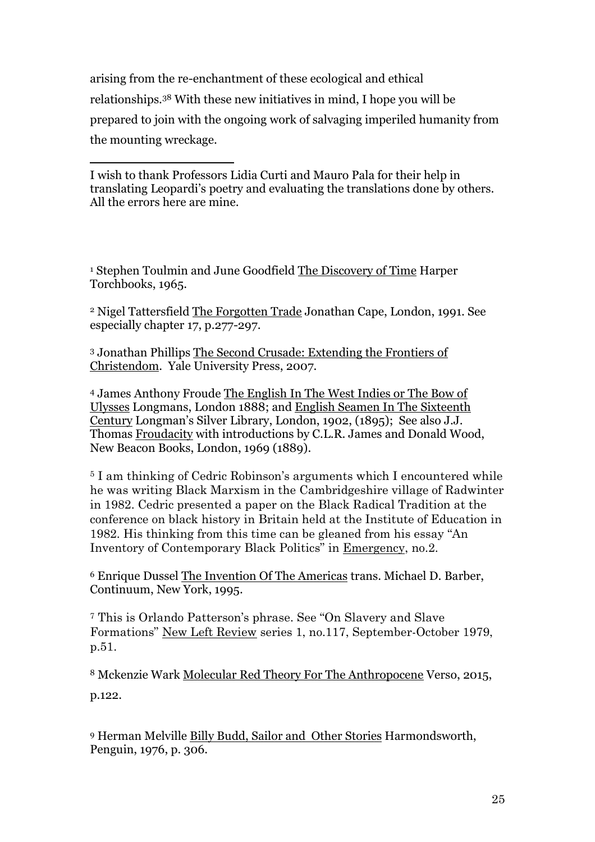arising from the re-enchantment of these ecological and ethical relationships.<sup>38</sup> With these new initiatives in mind, I hope you will be prepared to join with the ongoing work of salvaging imperiled humanity from the mounting wreckage.

 $\overline{a}$ I wish to thank Professors Lidia Curti and Mauro Pala for their help in translating Leopardi's poetry and evaluating the translations done by others. All the errors here are mine.

<sup>1</sup> Stephen Toulmin and June Goodfield The Discovery of Time Harper Torchbooks, 1965.

<sup>2</sup> Nigel Tattersfield The Forgotten Trade Jonathan Cape, London, 1991. See especially chapter 17, p.277-297.

<sup>3</sup> Jonathan Phillips The Second Crusade: Extending the Frontiers of Christendom. Yale University Press, 2007.

<sup>4</sup> James Anthony Froude The English In The West Indies or The Bow of Ulysses Longmans, London 1888; and English Seamen In The Sixteenth Century Longman's Silver Library, London, 1902, (1895); See also J.J. Thomas Froudacity with introductions by C.L.R. James and Donald Wood, New Beacon Books, London, 1969 (1889).

<sup>5</sup> I am thinking of Cedric Robinson's arguments which I encountered while he was writing Black Marxism in the Cambridgeshire village of Radwinter in 1982. Cedric presented a paper on the Black Radical Tradition at the conference on black history in Britain held at the Institute of Education in 1982. His thinking from this time can be gleaned from his essay "An Inventory of Contemporary Black Politics" in Emergency, no.2.

<sup>6</sup> Enrique Dussel The Invention Of The Americas trans. Michael D. Barber, Continuum, New York, 1995.

<sup>7</sup> This is Orlando Patterson's phrase. See "On Slavery and Slave Formations" New Left Review series 1, no.117, September-October 1979, p.51.

<sup>8</sup> Mckenzie Wark Molecular Red Theory For The Anthropocene Verso, 2015, p.122.

<sup>9</sup> Herman Melville Billy Budd, Sailor and Other Stories Harmondsworth, Penguin, 1976, p. 306.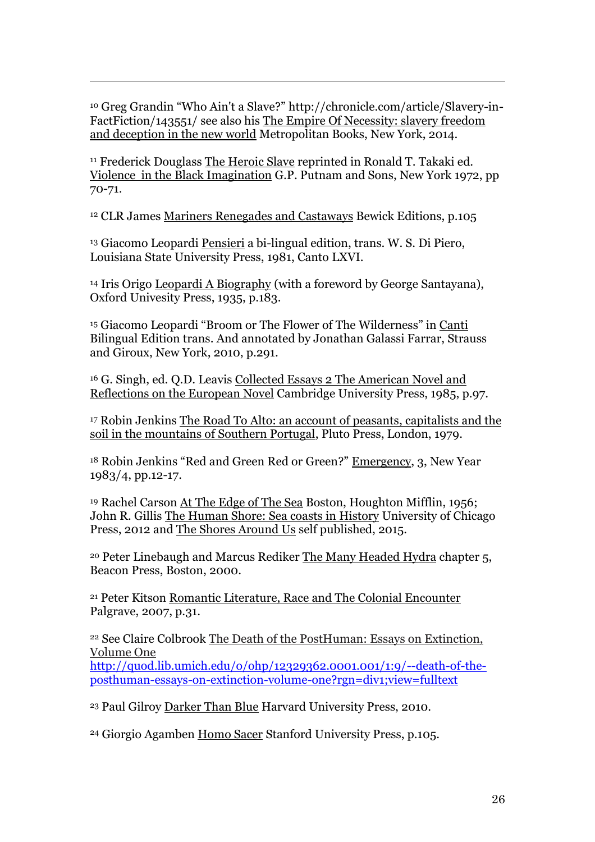<sup>10</sup> Greg Grandin "Who Ain't a Slave?" http://chronicle.com/article/Slavery-in-FactFiction/143551/ see also his The Empire Of Necessity: slavery freedom and deception in the new world Metropolitan Books, New York, 2014.

 $\overline{a}$ 

<sup>11</sup> Frederick Douglass The Heroic Slave reprinted in Ronald T. Takaki ed. Violence in the Black Imagination G.P. Putnam and Sons, New York 1972, pp 70-71.

<sup>12</sup> CLR James Mariners Renegades and Castaways Bewick Editions, p.105

<sup>13</sup> Giacomo Leopardi Pensieri a bi-lingual edition, trans. W. S. Di Piero, Louisiana State University Press, 1981, Canto LXVI.

<sup>14</sup> Iris Origo Leopardi A Biography (with a foreword by George Santayana), Oxford Univesity Press, 1935, p.183.

<sup>15</sup> Giacomo Leopardi "Broom or The Flower of The Wilderness" in Canti Bilingual Edition trans. And annotated by Jonathan Galassi Farrar, Strauss and Giroux, New York, 2010, p.291.

<sup>16</sup> G. Singh, ed. Q.D. Leavis Collected Essays 2 The American Novel and Reflections on the European Novel Cambridge University Press, 1985, p.97.

<sup>17</sup> Robin Jenkins The Road To Alto: an account of peasants, capitalists and the soil in the mountains of Southern Portugal, Pluto Press, London, 1979.

<sup>18</sup> Robin Jenkins "Red and Green Red or Green?" Emergency, 3, New Year 1983/4, pp.12-17.

<sup>19</sup> Rachel Carson At The Edge of The Sea Boston, Houghton Mifflin, 1956; John R. Gillis The Human Shore: Sea coasts in History University of Chicago Press, 2012 and The Shores Around Us self published, 2015.

<sup>20</sup> Peter Linebaugh and Marcus Rediker The Many Headed Hydra chapter 5, Beacon Press, Boston, 2000.

<sup>21</sup> Peter Kitson Romantic Literature, Race and The Colonial Encounter Palgrave, 2007, p.31.

<sup>22</sup> See Claire Colbrook The Death of the PostHuman: Essays on Extinction, Volume One

[http://quod.lib.umich.edu/o/ohp/12329362.0001.001/1:9/--death-of-the](http://quod.lib.umich.edu/o/ohp/12329362.0001.001/1:9/--death-of-the-posthuman-essays-on-extinction-volume-one?rgn=div1;view=fulltext)[posthuman-essays-on-extinction-volume-one?rgn=div1;view=fulltext](http://quod.lib.umich.edu/o/ohp/12329362.0001.001/1:9/--death-of-the-posthuman-essays-on-extinction-volume-one?rgn=div1;view=fulltext)

<sup>23</sup> Paul Gilroy Darker Than Blue Harvard University Press, 2010.

<sup>24</sup> Giorgio Agamben Homo Sacer Stanford University Press, p.105.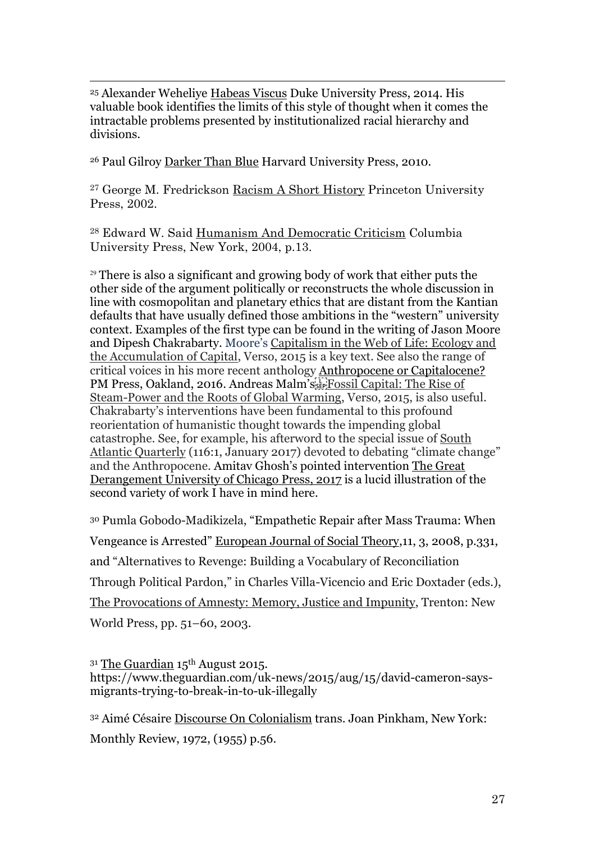$\overline{a}$ <sup>25</sup> Alexander Weheliye Habeas Viscus Duke University Press, 2014. His valuable book identifies the limits of this style of thought when it comes the intractable problems presented by institutionalized racial hierarchy and divisions.

<sup>26</sup> Paul Gilroy Darker Than Blue Harvard University Press, 2010.

<sup>27</sup> George M. Fredrickson Racism A Short History Princeton University Press, 2002.

<sup>28</sup> Edward W. Said Humanism And Democratic Criticism Columbia University Press, New York, 2004, p.13.

<sup>29</sup> There is also a significant and growing body of work that either puts the other side of the argument politically or reconstructs the whole discussion in line with cosmopolitan and planetary ethics that are distant from the Kantian defaults that have usually defined those ambitions in the "western" university context. Examples of the first type can be found in the writing of Jason Moore and Dipesh Chakrabarty. Moore's Capitalism in the Web of Life: Ecology and the Accumulation of Capital, Verso, 2015 is a key text. See also the range of critical voices in his more recent anthology Anthropocene or Capitalocene? PM Press, Oakland, 2016. Andreas Malm's Fingles Capital: The Rise of Steam-Power and the Roots of Global Warming, Verso, 2015, is also useful. Chakrabarty's interventions have been fundamental to this profound reorientation of humanistic thought towards the impending global catastrophe. See, for example, his afterword to the special issue of South Atlantic Quarterly (116:1, January 2017) devoted to debating "climate change" and the Anthropocene. Amitav Ghosh's pointed intervention The Great Derangement University of Chicago Press, 2017 is a lucid illustration of the second variety of work I have in mind here.

<sup>30</sup> Pumla Gobodo-Madikizela, "Empathetic Repair after Mass Trauma: When Vengeance is Arrested" European Journal of Social Theory,11, 3, 2008, p.331, and "Alternatives to Revenge: Building a Vocabulary of Reconciliation Through Political Pardon," in Charles Villa-Vicencio and Eric Doxtader (eds.), The Provocations of Amnesty: Memory, Justice and Impunity, Trenton: New World Press, pp. 51–60, 2003.

<sup>31</sup> The Guardian 15<sup>th</sup> August 2015. https://www.theguardian.com/uk-news/2015/aug/15/david-cameron-saysmigrants-trying-to-break-in-to-uk-illegally

<sup>32</sup> Aimé Césaire Discourse On Colonialism trans. Joan Pinkham, New York: Monthly Review, 1972, (1955) p.56.